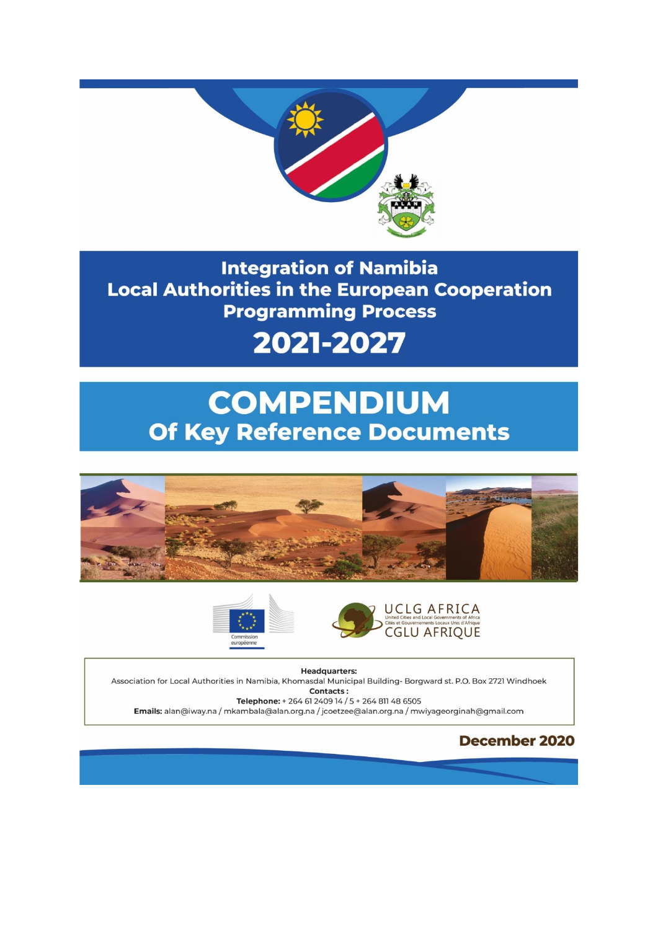

**Integration of Namibia Local Authorities in the European Cooperation Programming Process** 

# 2021-2027

# **COMPENDIUM Of Key Reference Documents**







**Headquarters:** Association for Local Authorities in Namibia, Khomasdal Municipal Building- Borgward st. P.O. Box 2721 Windhoek Contacts: Telephone: + 264 61 2409 14 / 5 + 264 811 48 6505

Emails: alan@iway.na / mkambala@alan.org.na / jcoetzee@alan.org.na / mwiyageorginah@gmail.com

### **December 2020**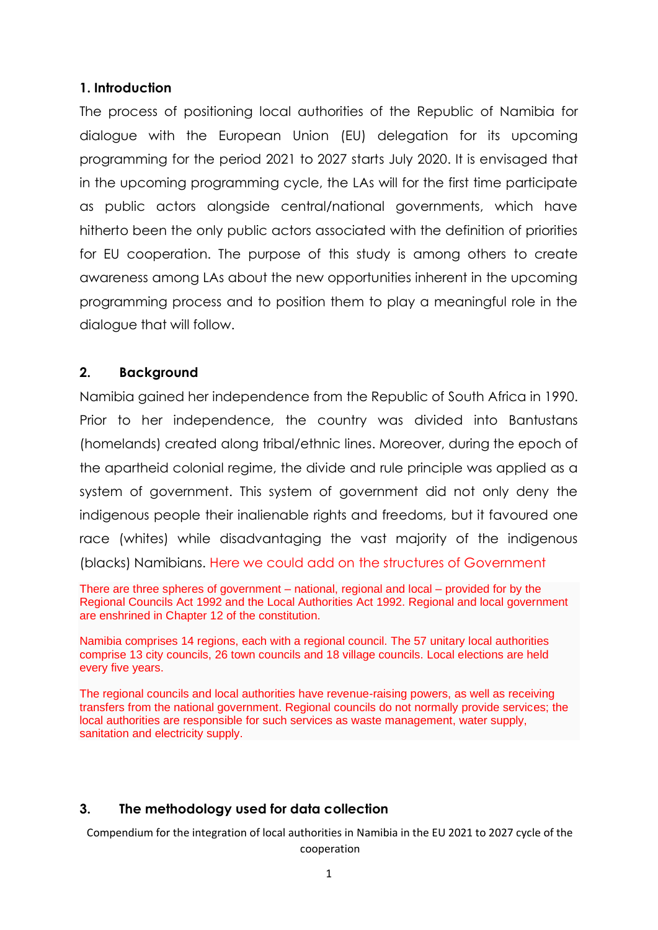#### **1. Introduction**

The process of positioning local authorities of the Republic of Namibia for dialogue with the European Union (EU) delegation for its upcoming programming for the period 2021 to 2027 starts July 2020. It is envisaged that in the upcoming programming cycle, the LAs will for the first time participate as public actors alongside central/national governments, which have hitherto been the only public actors associated with the definition of priorities for EU cooperation. The purpose of this study is among others to create awareness among LAs about the new opportunities inherent in the upcoming programming process and to position them to play a meaningful role in the dialogue that will follow.

#### **2. Background**

Namibia gained her independence from the Republic of South Africa in 1990. Prior to her independence, the country was divided into Bantustans (homelands) created along tribal/ethnic lines. Moreover, during the epoch of the apartheid colonial regime, the divide and rule principle was applied as a system of government. This system of government did not only deny the indigenous people their inalienable rights and freedoms, but it favoured one race (whites) while disadvantaging the vast majority of the indigenous (blacks) Namibians. Here we could add on the structures of Government

There are three spheres of government – national, regional and local – provided for by the Regional Councils Act 1992 and the Local Authorities Act 1992. Regional and local government are enshrined in Chapter 12 of the constitution.

Namibia comprises 14 regions, each with a regional council. The 57 unitary local authorities comprise 13 city councils, 26 town councils and 18 village councils. Local elections are held every five years.

The regional councils and local authorities have revenue-raising powers, as well as receiving transfers from the national government. Regional councils do not normally provide services; the local authorities are responsible for such services as waste management, water supply, sanitation and electricity supply.

#### **3. The methodology used for data collection**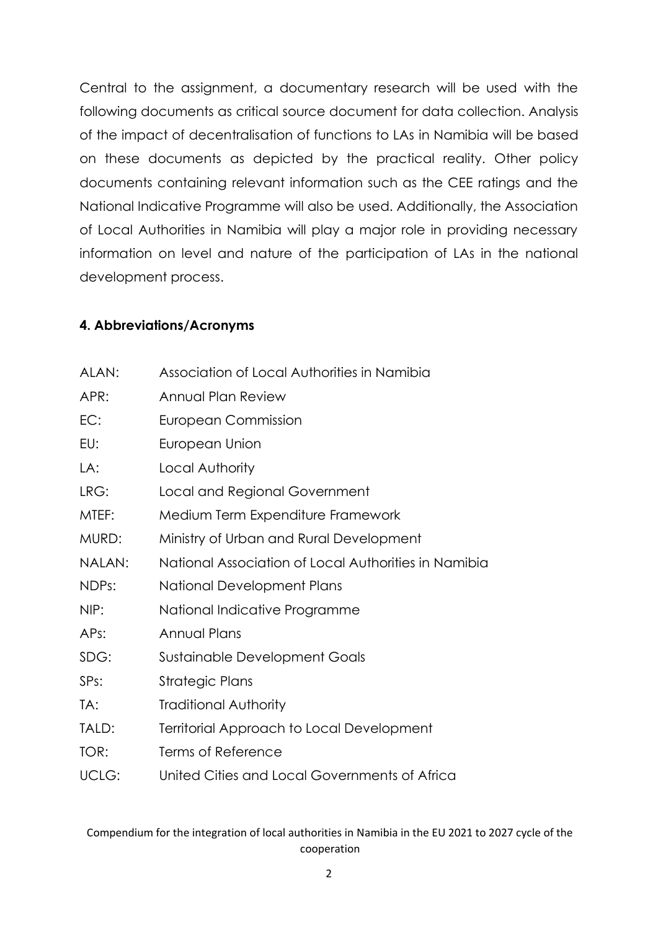Central to the assignment, a documentary research will be used with the following documents as critical source document for data collection. Analysis of the impact of decentralisation of functions to LAs in Namibia will be based on these documents as depicted by the practical reality. Other policy documents containing relevant information such as the CEE ratings and the National Indicative Programme will also be used. Additionally, the Association of Local Authorities in Namibia will play a major role in providing necessary information on level and nature of the participation of LAs in the national development process.

#### **4. Abbreviations/Acronyms**

| ALAN:  | Association of Local Authorities in Namibia          |
|--------|------------------------------------------------------|
| APR:   | Annual Plan Review                                   |
| EC:    | <b>European Commission</b>                           |
| EU:    | European Union                                       |
| LA:    | Local Authority                                      |
| LRG:   | Local and Regional Government                        |
| MTEF:  | Medium Term Expenditure Framework                    |
| MURD:  | Ministry of Urban and Rural Development              |
| NALAN: | National Association of Local Authorities in Namibia |
| NDPs:  | <b>National Development Plans</b>                    |
| NIP:   | National Indicative Programme                        |
| APs:   | <b>Annual Plans</b>                                  |
| SDG:   | <b>Sustainable Development Goals</b>                 |
| SPs:   | Strategic Plans                                      |
| TA:    | <b>Traditional Authority</b>                         |
| TALD:  | Territorial Approach to Local Development            |
| TOR:   | Terms of Reference                                   |
| UCLG:  | United Cities and Local Governments of Africa        |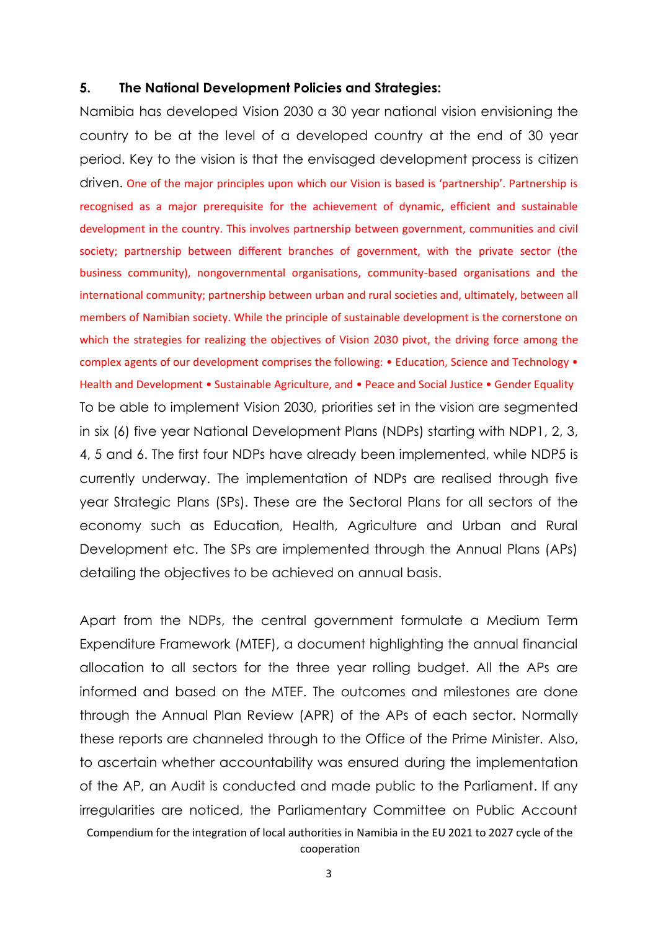#### **5. The National Development Policies and Strategies:**

Namibia has developed Vision 2030 a 30 year national vision envisioning the country to be at the level of a developed country at the end of 30 year period. Key to the vision is that the envisaged development process is citizen driven. One of the major principles upon which our Vision is based is 'partnership'. Partnership is recognised as a major prerequisite for the achievement of dynamic, efficient and sustainable development in the country. This involves partnership between government, communities and civil society; partnership between different branches of government, with the private sector (the business community), nongovernmental organisations, community-based organisations and the international community; partnership between urban and rural societies and, ultimately, between all members of Namibian society. While the principle of sustainable development is the cornerstone on which the strategies for realizing the objectives of Vision 2030 pivot, the driving force among the complex agents of our development comprises the following: • Education, Science and Technology • Health and Development • Sustainable Agriculture, and • Peace and Social Justice • Gender Equality To be able to implement Vision 2030, priorities set in the vision are segmented in six (6) five year National Development Plans (NDPs) starting with NDP1, 2, 3, 4, 5 and 6. The first four NDPs have already been implemented, while NDP5 is currently underway. The implementation of NDPs are realised through five year Strategic Plans (SPs). These are the Sectoral Plans for all sectors of the economy such as Education, Health, Agriculture and Urban and Rural Development etc. The SPs are implemented through the Annual Plans (APs) detailing the objectives to be achieved on annual basis.

Compendium for the integration of local authorities in Namibia in the EU 2021 to 2027 cycle of the cooperation Apart from the NDPs, the central government formulate a Medium Term Expenditure Framework (MTEF), a document highlighting the annual financial allocation to all sectors for the three year rolling budget. All the APs are informed and based on the MTEF. The outcomes and milestones are done through the Annual Plan Review (APR) of the APs of each sector. Normally these reports are channeled through to the Office of the Prime Minister. Also, to ascertain whether accountability was ensured during the implementation of the AP, an Audit is conducted and made public to the Parliament. If any irregularities are noticed, the Parliamentary Committee on Public Account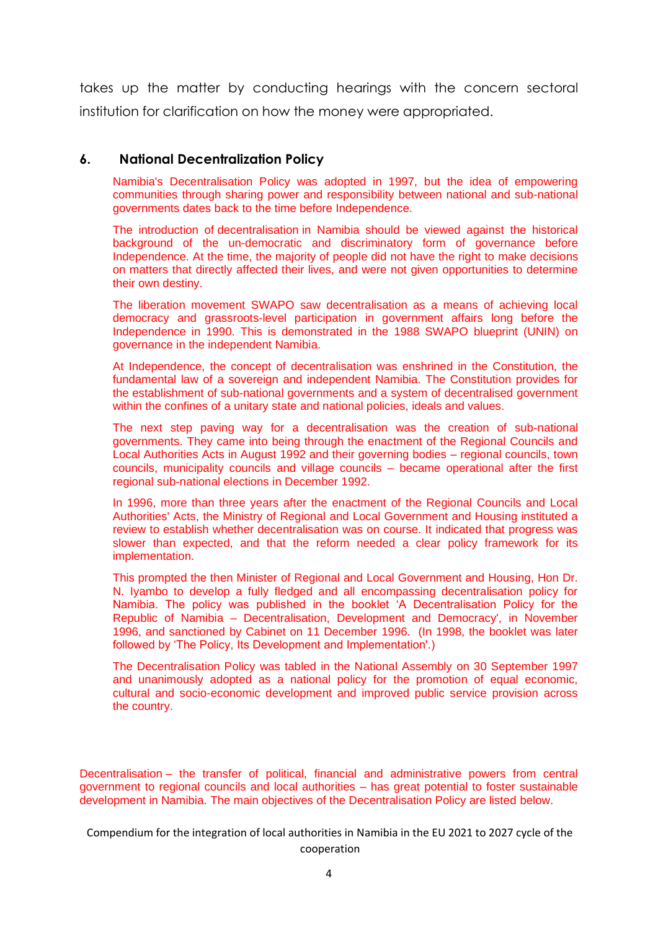takes up the matter by conducting hearings with the concern sectoral institution for clarification on how the money were appropriated.

#### **6. National Decentralization Policy**

Namibia's Decentralisation Policy was adopted in 1997, but the idea of empowering communities through sharing power and responsibility between national and sub-national governments dates back to the time before Independence.

The introduction of decentralisation in Namibia should be viewed against the historical background of the un-democratic and discriminatory form of governance before Independence. At the time, the majority of people did not have the right to make decisions on matters that directly affected their lives, and were not given opportunities to determine their own destiny.

The liberation movement SWAPO saw decentralisation as a means of achieving local democracy and grassroots-level participation in government affairs long before the Independence in 1990. This is demonstrated in the 1988 SWAPO blueprint (UNIN) on governance in the independent Namibia.

At Independence, the concept of decentralisation was enshrined in the Constitution, the fundamental law of a sovereign and independent Namibia. The Constitution provides for the establishment of sub-national governments and a system of decentralised government within the confines of a unitary state and national policies, ideals and values.

The next step paving way for a decentralisation was the creation of sub-national governments. They came into being through the enactment of the Regional Councils and Local Authorities Acts in August 1992 and their governing bodies – regional councils, town councils, municipality councils and village councils – became operational after the first regional sub-national elections in December 1992.

In 1996, more than three years after the enactment of the Regional Councils and Local Authorities' Acts, the Ministry of Regional and Local Government and Housing instituted a review to establish whether decentralisation was on course. It indicated that progress was slower than expected, and that the reform needed a clear policy framework for its implementation.

This prompted the then Minister of Regional and Local Government and Housing, Hon Dr. N. Iyambo to develop a fully fledged and all encompassing decentralisation policy for Namibia. The policy was published in the booklet 'A Decentralisation Policy for the Republic of Namibia – Decentralisation, Development and Democracy', in November 1996, and sanctioned by Cabinet on 11 December 1996. (In 1998, the booklet was later followed by 'The Policy, Its Development and Implementation'.)

The Decentralisation Policy was tabled in the National Assembly on 30 September 1997 and unanimously adopted as a national policy for the promotion of equal economic, cultural and socio-economic development and improved public service provision across the country.

Decentralisation – the transfer of political, financial and administrative powers from central government to regional councils and local authorities – has great potential to foster sustainable development in Namibia. The main objectives of the Decentralisation Policy are listed below.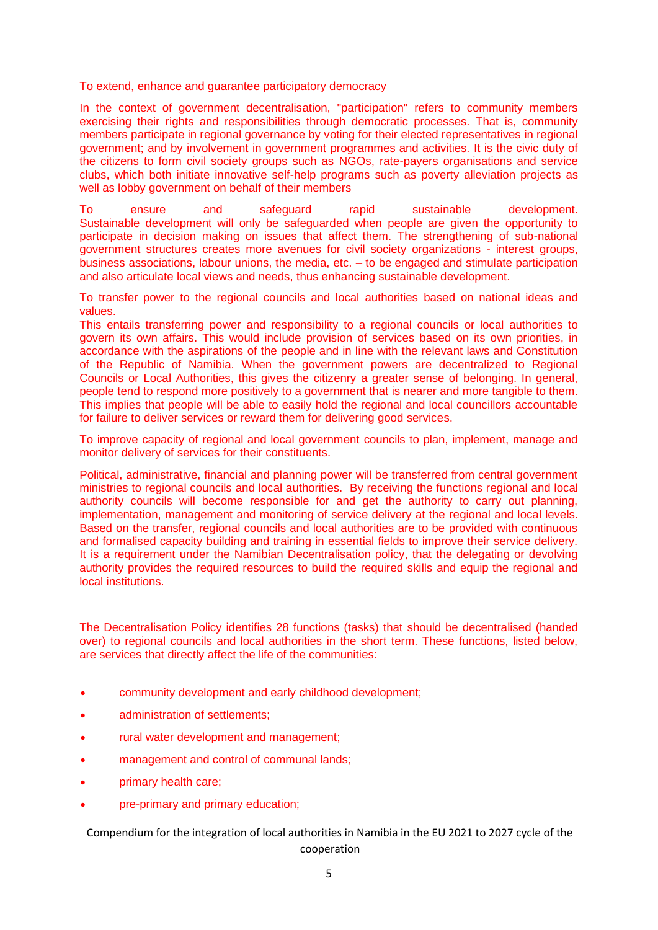To extend, enhance and guarantee participatory democracy

In the context of government decentralisation, "participation" refers to community members exercising their rights and responsibilities through democratic processes. That is, community members participate in regional governance by voting for their elected representatives in regional government; and by involvement in government programmes and activities. It is the civic duty of the citizens to form civil society groups such as NGOs, rate-payers organisations and service clubs, which both initiate innovative self-help programs such as poverty alleviation projects as well as lobby government on behalf of their members

To ensure and safeguard rapid sustainable development. Sustainable development will only be safeguarded when people are given the opportunity to participate in decision making on issues that affect them. The strengthening of sub-national government structures creates more avenues for civil society organizations - interest groups, business associations, labour unions, the media, etc. – to be engaged and stimulate participation and also articulate local views and needs, thus enhancing sustainable development.

To transfer power to the regional councils and local authorities based on national ideas and values.

This entails transferring power and responsibility to a regional councils or local authorities to govern its own affairs. This would include provision of services based on its own priorities, in accordance with the aspirations of the people and in line with the relevant laws and Constitution of the Republic of Namibia. When the government powers are decentralized to Regional Councils or Local Authorities, this gives the citizenry a greater sense of belonging. In general, people tend to respond more positively to a government that is nearer and more tangible to them. This implies that people will be able to easily hold the regional and local councillors accountable for failure to deliver services or reward them for delivering good services.

To improve capacity of regional and local government councils to plan, implement, manage and monitor delivery of services for their constituents.

Political, administrative, financial and planning power will be transferred from central government ministries to regional councils and local authorities. By receiving the functions regional and local authority councils will become responsible for and get the authority to carry out planning, implementation, management and monitoring of service delivery at the regional and local levels. Based on the transfer, regional councils and local authorities are to be provided with continuous and formalised capacity building and training in essential fields to improve their service delivery. It is a requirement under the Namibian Decentralisation policy, that the delegating or devolving authority provides the required resources to build the required skills and equip the regional and local institutions.

The Decentralisation Policy identifies 28 functions (tasks) that should be decentralised (handed over) to regional councils and local authorities in the short term. These functions, listed below, are services that directly affect the life of the communities:

- community development and early childhood development;
- administration of settlements;
- rural water development and management;
- management and control of communal lands;
- primary health care;
- pre-primary and primary education;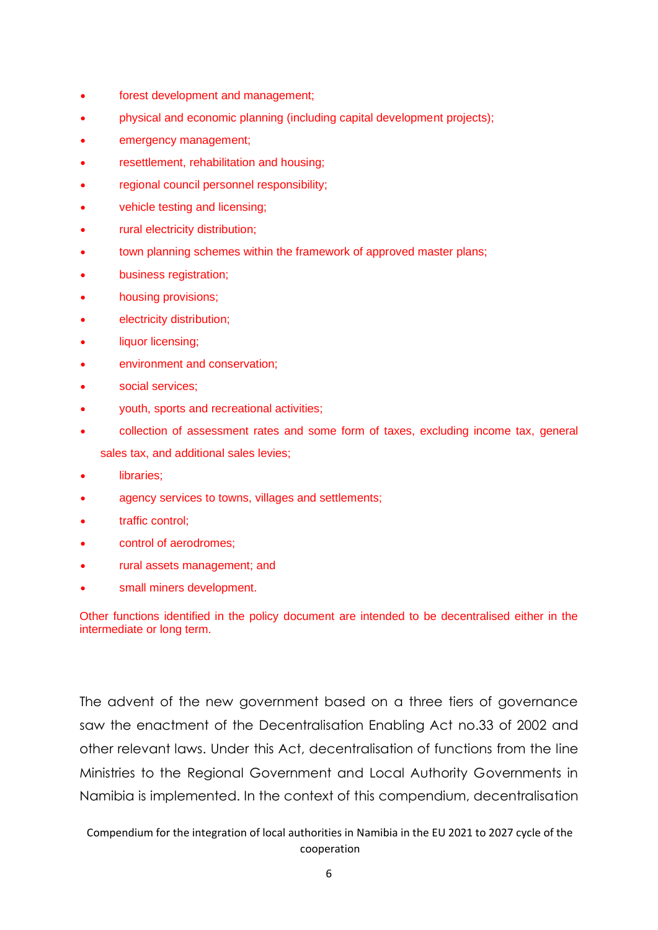- forest development and management;
- physical and economic planning (including capital development projects);
- emergency management;
- resettlement, rehabilitation and housing;
- regional council personnel responsibility;
- vehicle testing and licensing;
- rural electricity distribution;
- town planning schemes within the framework of approved master plans;
- business registration;
- housing provisions;
- electricity distribution;
- liquor licensing;
- environment and conservation:
- social services:
- youth, sports and recreational activities;
- collection of assessment rates and some form of taxes, excluding income tax, general sales tax, and additional sales levies;
- libraries;
- agency services to towns, villages and settlements;
- traffic control;
- control of aerodromes;
- rural assets management; and
- small miners development.

Other functions identified in the policy document are intended to be decentralised either in the intermediate or long term.

The advent of the new government based on a three tiers of governance saw the enactment of the Decentralisation Enabling Act no.33 of 2002 and other relevant laws. Under this Act, decentralisation of functions from the line Ministries to the Regional Government and Local Authority Governments in Namibia is implemented. In the context of this compendium, decentralisation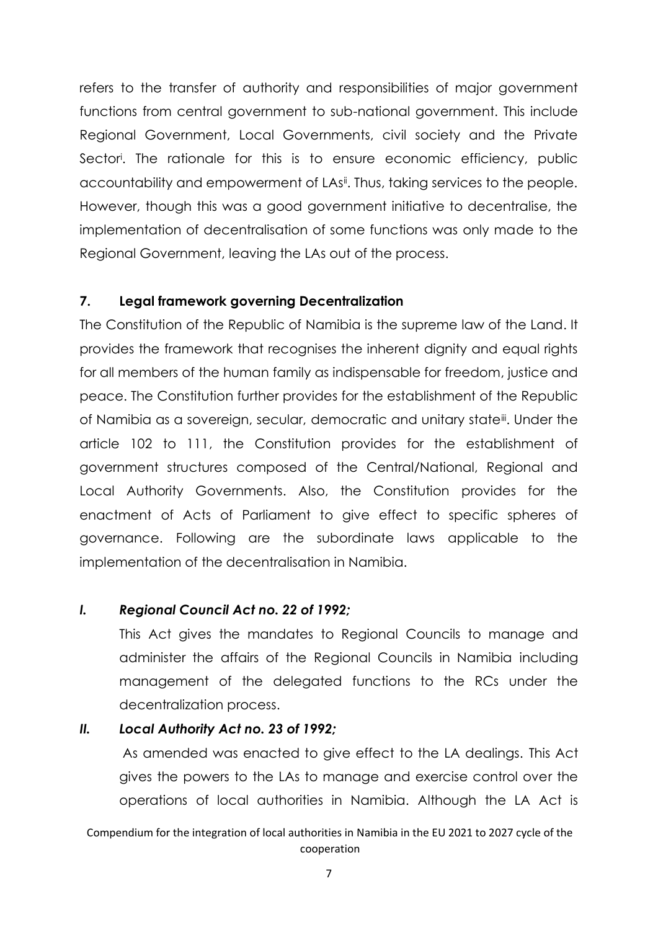refers to the transfer of authority and responsibilities of major government functions from central government to sub-national government. This include Regional Government, Local Governments, civil society and the Private Sector<sup>i</sup> . The rationale for this is to ensure economic efficiency, public accountability and empowerment of LAsi<sup>j</sup>. Thus, taking services to the people. However, though this was a good government initiative to decentralise, the implementation of decentralisation of some functions was only made to the Regional Government, leaving the LAs out of the process.

#### **7. Legal framework governing Decentralization**

The Constitution of the Republic of Namibia is the supreme law of the Land. It provides the framework that recognises the inherent dignity and equal rights for all members of the human family as indispensable for freedom, justice and peace. The Constitution further provides for the establishment of the Republic of Namibia as a sovereign, secular, democratic and unitary stateii. Under the article 102 to 111, the Constitution provides for the establishment of government structures composed of the Central/National, Regional and Local Authority Governments. Also, the Constitution provides for the enactment of Acts of Parliament to give effect to specific spheres of governance. Following are the subordinate laws applicable to the implementation of the decentralisation in Namibia.

#### *I. Regional Council Act no. 22 of 1992;*

This Act gives the mandates to Regional Councils to manage and administer the affairs of the Regional Councils in Namibia including management of the delegated functions to the RCs under the decentralization process.

#### *II. Local Authority Act no. 23 of 1992;*

As amended was enacted to give effect to the LA dealings. This Act gives the powers to the LAs to manage and exercise control over the operations of local authorities in Namibia. Although the LA Act is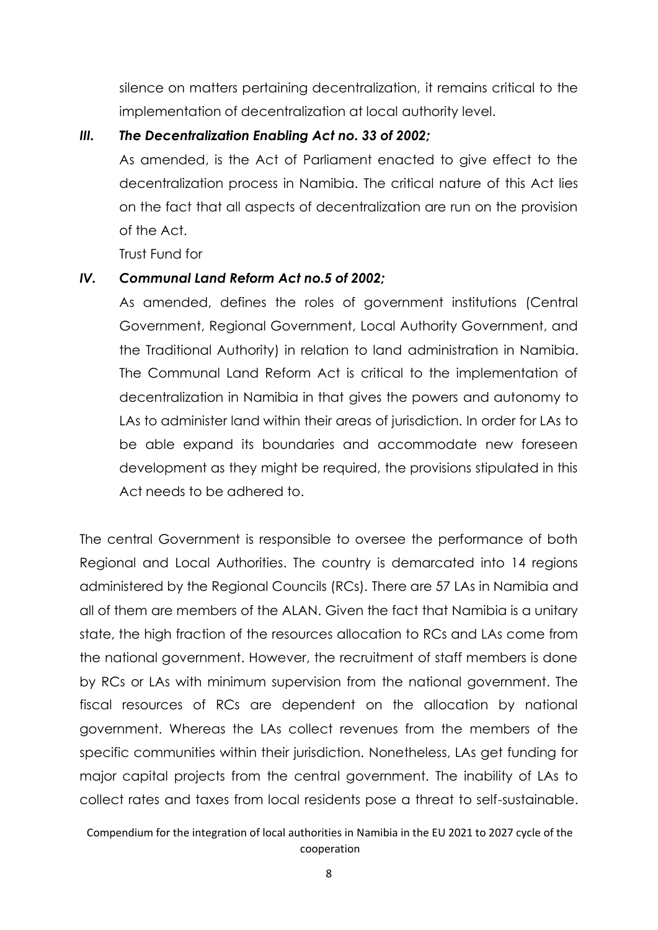silence on matters pertaining decentralization, it remains critical to the implementation of decentralization at local authority level.

#### *III. The Decentralization Enabling Act no. 33 of 2002;*

As amended, is the Act of Parliament enacted to give effect to the decentralization process in Namibia. The critical nature of this Act lies on the fact that all aspects of decentralization are run on the provision of the Act.

Trust Fund for

#### *IV. Communal Land Reform Act no.5 of 2002;*

As amended, defines the roles of government institutions (Central Government, Regional Government, Local Authority Government, and the Traditional Authority) in relation to land administration in Namibia. The Communal Land Reform Act is critical to the implementation of decentralization in Namibia in that gives the powers and autonomy to LAs to administer land within their areas of jurisdiction. In order for LAs to be able expand its boundaries and accommodate new foreseen development as they might be required, the provisions stipulated in this Act needs to be adhered to.

The central Government is responsible to oversee the performance of both Regional and Local Authorities. The country is demarcated into 14 regions administered by the Regional Councils (RCs). There are 57 LAs in Namibia and all of them are members of the ALAN. Given the fact that Namibia is a unitary state, the high fraction of the resources allocation to RCs and LAs come from the national government. However, the recruitment of staff members is done by RCs or LAs with minimum supervision from the national government. The fiscal resources of RCs are dependent on the allocation by national government. Whereas the LAs collect revenues from the members of the specific communities within their jurisdiction. Nonetheless, LAs get funding for major capital projects from the central government. The inability of LAs to collect rates and taxes from local residents pose a threat to self-sustainable.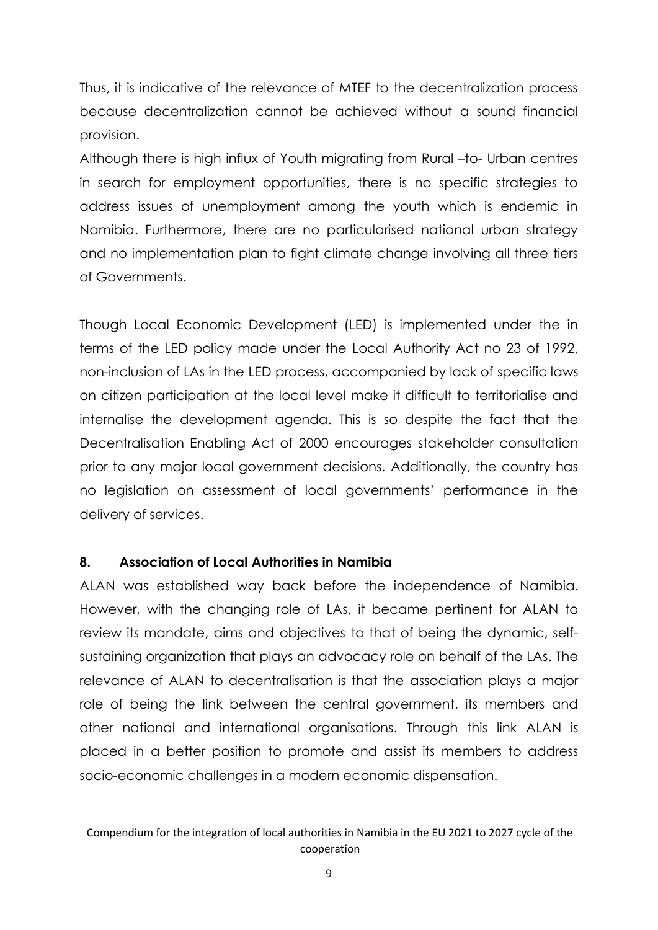Thus, it is indicative of the relevance of MTEF to the decentralization process because decentralization cannot be achieved without a sound financial provision.

Although there is high influx of Youth migrating from Rural –to- Urban centres in search for employment opportunities, there is no specific strategies to address issues of unemployment among the youth which is endemic in Namibia. Furthermore, there are no particularised national urban strategy and no implementation plan to fight climate change involving all three tiers of Governments.

Though Local Economic Development (LED) is implemented under the in terms of the LED policy made under the Local Authority Act no 23 of 1992, non-inclusion of LAs in the LED process, accompanied by lack of specific laws on citizen participation at the local level make it difficult to territorialise and internalise the development agenda. This is so despite the fact that the Decentralisation Enabling Act of 2000 encourages stakeholder consultation prior to any major local government decisions. Additionally, the country has no legislation on assessment of local governments' performance in the delivery of services.

#### **8. Association of Local Authorities in Namibia**

ALAN was established way back before the independence of Namibia. However, with the changing role of LAs, it became pertinent for ALAN to review its mandate, aims and objectives to that of being the dynamic, selfsustaining organization that plays an advocacy role on behalf of the LAs. The relevance of ALAN to decentralisation is that the association plays a major role of being the link between the central government, its members and other national and international organisations. Through this link ALAN is placed in a better position to promote and assist its members to address socio-economic challenges in a modern economic dispensation.

Compendium for the integration of local authorities in Namibia in the EU 2021 to 2027 cycle of the cooperation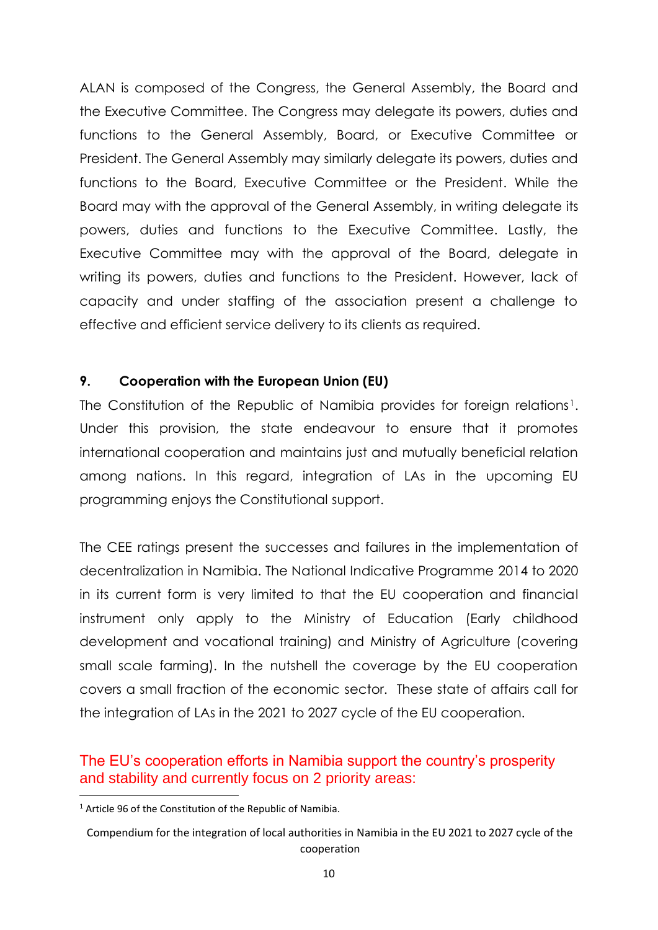ALAN is composed of the Congress, the General Assembly, the Board and the Executive Committee. The Congress may delegate its powers, duties and functions to the General Assembly, Board, or Executive Committee or President. The General Assembly may similarly delegate its powers, duties and functions to the Board, Executive Committee or the President. While the Board may with the approval of the General Assembly, in writing delegate its powers, duties and functions to the Executive Committee. Lastly, the Executive Committee may with the approval of the Board, delegate in writing its powers, duties and functions to the President. However, lack of capacity and under staffing of the association present a challenge to effective and efficient service delivery to its clients as required.

#### **9. Cooperation with the European Union (EU)**

The Constitution of the Republic of Namibia provides for foreign relations<sup>1</sup>. Under this provision, the state endeavour to ensure that it promotes international cooperation and maintains just and mutually beneficial relation among nations. In this regard, integration of LAs in the upcoming EU programming enjoys the Constitutional support.

The CEE ratings present the successes and failures in the implementation of decentralization in Namibia. The National Indicative Programme 2014 to 2020 in its current form is very limited to that the EU cooperation and financial instrument only apply to the Ministry of Education (Early childhood development and vocational training) and Ministry of Agriculture (covering small scale farming). In the nutshell the coverage by the EU cooperation covers a small fraction of the economic sector. These state of affairs call for the integration of LAs in the 2021 to 2027 cycle of the EU cooperation.

#### The EU's cooperation efforts in Namibia support the country's prosperity and stability and currently focus on 2 priority areas:

<sup>&</sup>lt;sup>1</sup> Article 96 of the Constitution of the Republic of Namibia.

Compendium for the integration of local authorities in Namibia in the EU 2021 to 2027 cycle of the cooperation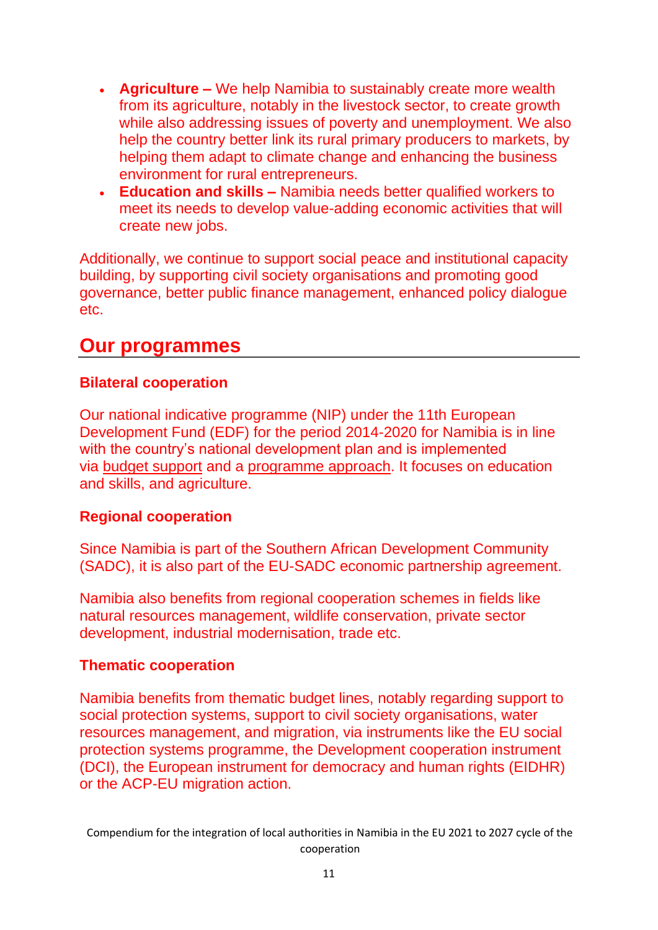- **Agriculture –** We help Namibia to sustainably create more wealth from its agriculture, notably in the livestock sector, to create growth while also addressing issues of poverty and unemployment. We also help the country better link its rural primary producers to markets, by helping them adapt to climate change and enhancing the business environment for rural entrepreneurs.
- **Education and skills –** Namibia needs better qualified workers to meet its needs to develop value-adding economic activities that will create new jobs.

Additionally, we continue to support social peace and institutional capacity building, by supporting civil society organisations and promoting good governance, better public finance management, enhanced policy dialogue etc.

# **Our programmes**

## **Bilateral cooperation**

Our national indicative programme (NIP) under the 11th European Development Fund (EDF) for the period 2014-2020 for Namibia is in line with the country's national development plan and is implemented via [budget support](https://ec.europa.eu/international-partnerships/budget-support_en) and a [programme approach.](https://ec.europa.eu/international-partnerships/about-us/how-we-work_en) It focuses on education and skills, and agriculture.

### **Regional cooperation**

Since Namibia is part of the Southern African Development Community (SADC), it is also part of the EU-SADC economic partnership agreement.

Namibia also benefits from regional cooperation schemes in fields like natural resources management, wildlife conservation, private sector development, industrial modernisation, trade etc.

### **Thematic cooperation**

Namibia benefits from thematic budget lines, notably regarding support to social protection systems, support to civil society organisations, water resources management, and migration, via instruments like the EU social protection systems programme, the Development cooperation instrument (DCI), the European instrument for democracy and human rights (EIDHR) or the ACP-EU migration action.

Compendium for the integration of local authorities in Namibia in the EU 2021 to 2027 cycle of the cooperation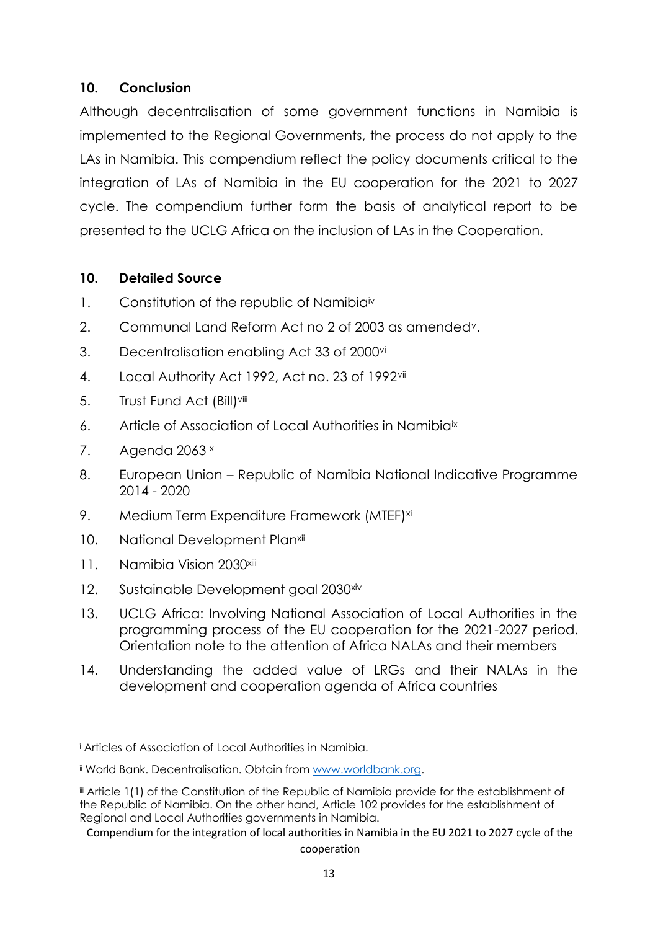#### **10. Conclusion**

Although decentralisation of some government functions in Namibia is implemented to the Regional Governments, the process do not apply to the LAs in Namibia. This compendium reflect the policy documents critical to the integration of LAs of Namibia in the EU cooperation for the 2021 to 2027 cycle. The compendium further form the basis of analytical report to be presented to the UCLG Africa on the inclusion of LAs in the Cooperation.

#### **10. Detailed Source**

- 1. Constitution of the republic of Namibia<sup>iv</sup>
- 2. Communal Land Reform Act no 2 of 2003 as amendedv.
- 3. Decentralisation enabling Act 33 of 2000vi
- 4. Local Authority Act 1992, Act no. 23 of 1992vii
- 5. Trust Fund Act (Bill)<sup>viii</sup>
- 6. Article of Association of Local Authorities in Namibia<sup>ix</sup>
- 7. Agenda  $2063 \times$
- 8. European Union Republic of Namibia National Indicative Programme 2014 - 2020
- 9. Medium Term Expenditure Framework (MTEF)<sup>xi</sup>
- 10. National Development Planxii
- 11. Namibia Vision 2030<sup>xiii</sup>
- 12. Sustainable Development goal 2030<sup>xiv</sup>
- 13. UCLG Africa: Involving National Association of Local Authorities in the programming process of the EU cooperation for the 2021-2027 period. Orientation note to the attention of Africa NALAs and their members
- 14. Understanding the added value of LRGs and their NALAs in the development and cooperation agenda of Africa countries

<sup>i</sup> Articles of Association of Local Authorities in Namibia.

**ii** World Bank. Decentralisation. Obtain from [www.worldbank.org.](http://www.worldbank.org/)

iii Article 1(1) of the Constitution of the Republic of Namibia provide for the establishment of the Republic of Namibia. On the other hand, Article 102 provides for the establishment of Regional and Local Authorities governments in Namibia.

Compendium for the integration of local authorities in Namibia in the EU 2021 to 2027 cycle of the cooperation